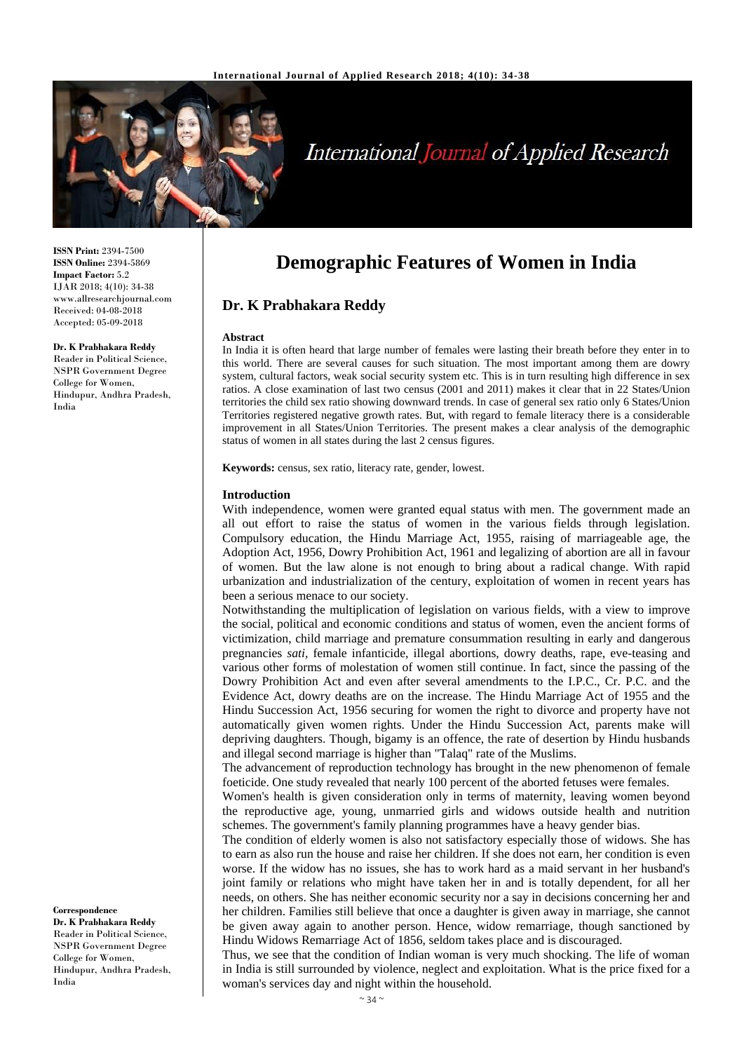

# **International Journal of Applied Research**

**ISSN Print:** 2394-7500 **ISSN Online:** 2394-5869 **Impact Factor:** 5.2 IJAR 2018; 4(10): 34-38 www.allresearchjournal.com Received: 04-08-2018 Accepted: 05-09-2018

## **Dr. K Prabhakara Reddy**

Reader in Political Science, NSPR Government Degree College for Women, Hindupur, Andhra Pradesh, India

**Correspondence Dr. K Prabhakara Reddy** Reader in Political Science, NSPR Government Degree College for Women, Hindupur, Andhra Pradesh, India

# **Demographic Features of Women in India**

### **Dr. K Prabhakara Reddy**

#### **Abstract**

In India it is often heard that large number of females were lasting their breath before they enter in to this world. There are several causes for such situation. The most important among them are dowry system, cultural factors, weak social security system etc. This is in turn resulting high difference in sex ratios. A close examination of last two census (2001 and 2011) makes it clear that in 22 States/Union territories the child sex ratio showing downward trends. In case of general sex ratio only 6 States/Union Territories registered negative growth rates. But, with regard to female literacy there is a considerable improvement in all States/Union Territories. The present makes a clear analysis of the demographic status of women in all states during the last 2 census figures.

**Keywords:** census, sex ratio, literacy rate, gender, lowest.

#### **Introduction**

With independence, women were granted equal status with men. The government made an all out effort to raise the status of women in the various fields through legislation. Compulsory education, the Hindu Marriage Act, 1955, raising of marriageable age, the Adoption Act, 1956, Dowry Prohibition Act, 1961 and legalizing of abortion are all in favour of women. But the law alone is not enough to bring about a radical change. With rapid urbanization and industrialization of the century, exploitation of women in recent years has been a serious menace to our society.

Notwithstanding the multiplication of legislation on various fields, with a view to improve the social, political and economic conditions and status of women, even the ancient forms of victimization, child marriage and premature consummation resulting in early and dangerous pregnancies *sati,* female infanticide, illegal abortions, dowry deaths, rape, eve-teasing and various other forms of molestation of women still continue. In fact, since the passing of the Dowry Prohibition Act and even after several amendments to the I.P.C., Cr. P.C. and the Evidence Act, dowry deaths are on the increase. The Hindu Marriage Act of 1955 and the Hindu Succession Act, 1956 securing for women the right to divorce and property have not automatically given women rights. Under the Hindu Succession Act, parents make will depriving daughters. Though, bigamy is an offence, the rate of desertion by Hindu husbands and illegal second marriage is higher than "Talaq" rate of the Muslims.

The advancement of reproduction technology has brought in the new phenomenon of female foeticide. One study revealed that nearly 100 percent of the aborted fetuses were females.

Women's health is given consideration only in terms of maternity, leaving women beyond the reproductive age, young, unmarried girls and widows outside health and nutrition schemes. The government's family planning programmes have a heavy gender bias.

The condition of elderly women is also not satisfactory especially those of widows. She has to earn as also run the house and raise her children. If she does not earn, her condition is even worse. If the widow has no issues, she has to work hard as a maid servant in her husband's joint family or relations who might have taken her in and is totally dependent, for all her needs, on others. She has neither economic security nor a say in decisions concerning her and her children. Families still believe that once a daughter is given away in marriage, she cannot be given away again to another person. Hence, widow remarriage, though sanctioned by Hindu Widows Remarriage Act of 1856, seldom takes place and is discouraged.

Thus, we see that the condition of Indian woman is very much shocking. The life of woman in India is still surrounded by violence, neglect and exploitation. What is the price fixed for a woman's services day and night within the household.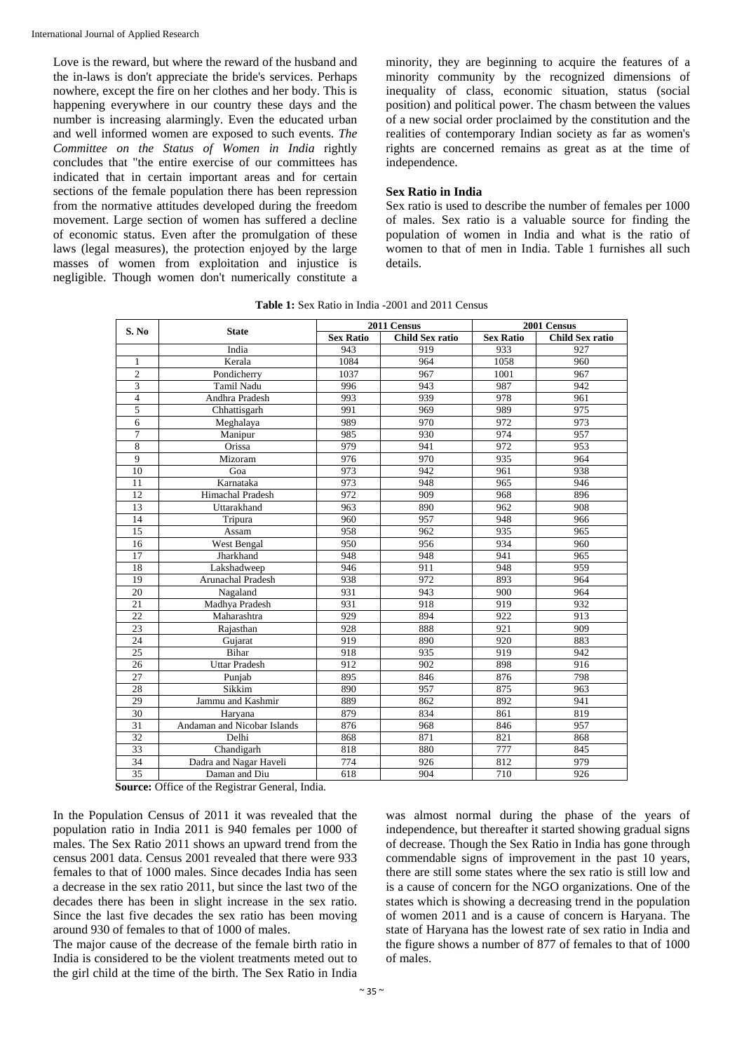Love is the reward, but where the reward of the husband and the in-laws is don't appreciate the bride's services. Perhaps nowhere, except the fire on her clothes and her body. This is happening everywhere in our country these days and the number is increasing alarmingly. Even the educated urban and well informed women are exposed to such events. *The Committee on the Status of Women in India* rightly concludes that "the entire exercise of our committees has indicated that in certain important areas and for certain sections of the female population there has been repression from the normative attitudes developed during the freedom movement. Large section of women has suffered a decline of economic status. Even after the promulgation of these laws (legal measures), the protection enjoyed by the large masses of women from exploitation and injustice is negligible. Though women don't numerically constitute a minority, they are beginning to acquire the features of a minority community by the recognized dimensions of inequality of class, economic situation, status (social position) and political power. The chasm between the values of a new social order proclaimed by the constitution and the realities of contemporary Indian society as far as women's rights are concerned remains as great as at the time of independence.

#### **Sex Ratio in India**

Sex ratio is used to describe the number of females per 1000 of males. Sex ratio is a valuable source for finding the population of women in India and what is the ratio of women to that of men in India. Table 1 furnishes all such details.

| S. No           | <b>State</b>                | 2011 Census      |                        | 2001 Census      |                        |
|-----------------|-----------------------------|------------------|------------------------|------------------|------------------------|
|                 |                             | <b>Sex Ratio</b> | <b>Child Sex ratio</b> | <b>Sex Ratio</b> | <b>Child Sex ratio</b> |
|                 | India                       | 943              | 919                    | 933              | 927                    |
| 1               | Kerala                      | 1084             | 964                    | 1058             | 960                    |
| $\overline{c}$  | Pondicherry                 | 1037             | 967                    | 1001             | 967                    |
| 3               | Tamil Nadu                  | 996              | 943                    | 987              | 942                    |
| $\overline{4}$  | Andhra Pradesh              | 993              | 939                    | 978              | 961                    |
| 5               | Chhattisgarh                | 991              | 969                    | 989              | 975                    |
| 6               | Meghalaya                   | 989              | 970                    | 972              | 973                    |
| $\overline{7}$  | Manipur                     | 985              | 930                    | 974              | 957                    |
| 8               | Orissa                      | 979              | 941                    | 972              | 953                    |
| 9               | Mizoram                     | 976              | 970                    | 935              | 964                    |
| 10              | Goa                         | 973              | 942                    | 961              | 938                    |
| 11              | Karnataka                   | 973              | 948                    | 965              | 946                    |
| 12              | Himachal Pradesh            | 972              | 909                    | 968              | 896                    |
| 13              | Uttarakhand                 | 963              | 890                    | 962              | 908                    |
| 14              | Tripura                     | 960              | 957                    | 948              | 966                    |
| 15              | Assam                       | 958              | 962                    | 935              | 965                    |
| 16              | West Bengal                 | 950              | 956                    | 934              | 960                    |
| 17              | Jharkhand                   | 948              | 948                    | 941              | 965                    |
| 18              | Lakshadweep                 | 946              | 911                    | 948              | 959                    |
| 19              | <b>Arunachal Pradesh</b>    | 938              | 972                    | 893              | 964                    |
| 20              | Nagaland                    | 931              | 943                    | 900              | 964                    |
| 21              | Madhya Pradesh              | 931              | 918                    | 919              | 932                    |
| 22              | Maharashtra                 | 929              | 894                    | 922              | 913                    |
| $\overline{23}$ | Rajasthan                   | 928              | 888                    | 921              | 909                    |
| 24              | Gujarat                     | 919              | 890                    | 920              | 883                    |
| 25              | Bihar                       | 918              | 935                    | 919              | 942                    |
| 26              | <b>Uttar Pradesh</b>        | 912              | 902                    | 898              | 916                    |
| 27              | Punjab                      | 895              | 846                    | 876              | 798                    |
| 28              | Sikkim                      | 890              | 957                    | 875              | 963                    |
| 29              | Jammu and Kashmir           | 889              | 862                    | 892              | 941                    |
| 30              | Haryana                     | 879              | 834                    | 861              | 819                    |
| 31              | Andaman and Nicobar Islands | 876              | 968                    | 846              | 957                    |
| 32              | Delhi                       | 868              | 871                    | 821              | 868                    |
| $\overline{33}$ | Chandigarh                  | 818              | 880                    | 777              | 845                    |
| 34              | Dadra and Nagar Haveli      | 774              | 926                    | 812              | 979                    |
| 35              | Daman and Diu               | 618              | 904                    | 710              | 926                    |

**Table 1:** Sex Ratio in India -2001 and 2011 Census

**Source:** Office of the Registrar General, India.

In the Population Census of 2011 it was revealed that the population ratio in India 2011 is 940 females per 1000 of males. The Sex Ratio 2011 shows an upward trend from the census 2001 data. Census 2001 revealed that there were 933 females to that of 1000 males. Since decades India has seen a decrease in the sex ratio 2011, but since the last two of the decades there has been in slight increase in the sex ratio. Since the last five decades the sex ratio has been moving around 930 of females to that of 1000 of males.

The major cause of the decrease of the female birth ratio in India is considered to be the violent treatments meted out to the girl child at the time of the birth. The Sex Ratio in India

was almost normal during the phase of the years of independence, but thereafter it started showing gradual signs of decrease. Though the Sex Ratio in India has gone through commendable signs of improvement in the past 10 years, there are still some states where the sex ratio is still low and is a cause of concern for the NGO organizations. One of the states which is showing a decreasing trend in the population of women 2011 and is a cause of concern is Haryana. The state of Haryana has the lowest rate of sex ratio in India and the figure shows a number of 877 of females to that of 1000 of males.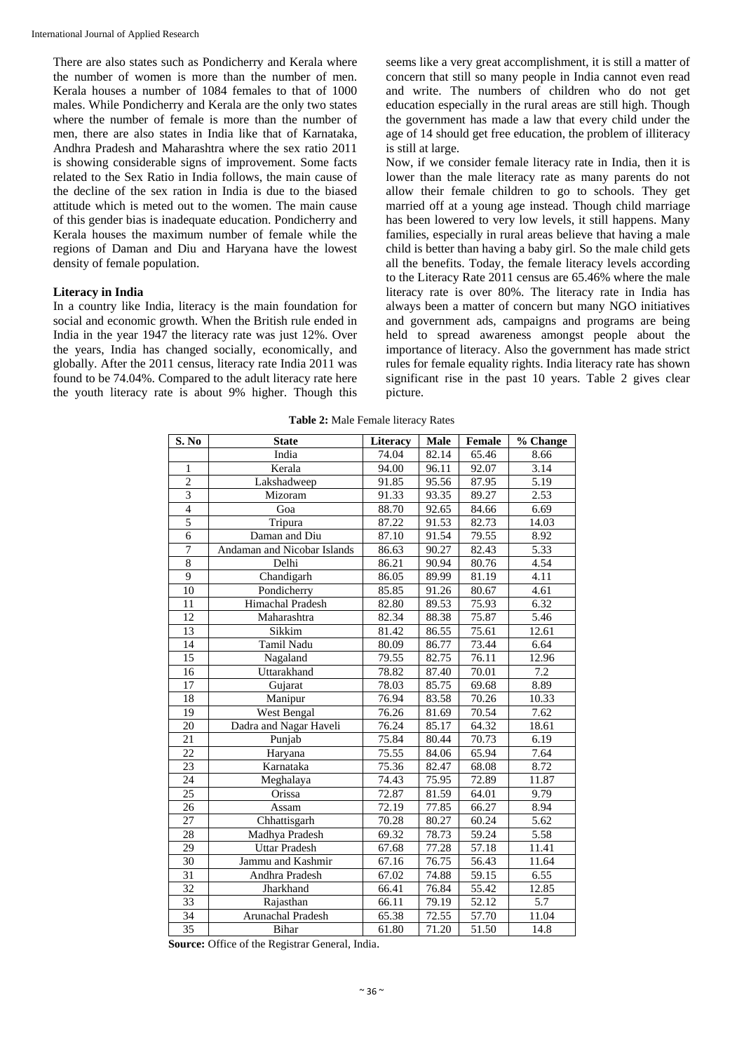There are also states such as Pondicherry and Kerala where the number of women is more than the number of men. Kerala houses a number of 1084 females to that of 1000 males. While Pondicherry and Kerala are the only two states where the number of female is more than the number of men, there are also states in India like that of Karnataka, Andhra Pradesh and Maharashtra where the sex ratio 2011 is showing considerable signs of improvement. Some facts related to the Sex Ratio in India follows, the main cause of the decline of the sex ration in India is due to the biased attitude which is meted out to the women. The main cause of this gender bias is inadequate education. Pondicherry and Kerala houses the maximum number of female while the regions of Daman and Diu and Haryana have the lowest density of female population.

#### **Literacy in India**

In a country like India, literacy is the main foundation for social and economic growth. When the British rule ended in India in the year 1947 the literacy rate was just 12%. Over the years, India has changed socially, economically, and globally. After the 2011 census, literacy rate India 2011 was found to be 74.04%. Compared to the adult literacy rate here the youth literacy rate is about 9% higher. Though this

seems like a very great accomplishment, it is still a matter of concern that still so many people in India cannot even read and write. The numbers of children who do not get education especially in the rural areas are still high. Though the government has made a law that every child under the age of 14 should get free education, the problem of illiteracy is still at large.

Now, if we consider female literacy rate in India, then it is lower than the male literacy rate as many parents do not allow their female children to go to schools. They get married off at a young age instead. Though child marriage has been lowered to very low levels, it still happens. Many families, especially in rural areas believe that having a male child is better than having a baby girl. So the male child gets all the benefits. Today, the female literacy levels according to the Literacy Rate 2011 census are 65.46% where the male literacy rate is over 80%. The literacy rate in India has always been a matter of concern but many NGO initiatives and government ads, campaigns and programs are being held to spread awareness amongst people about the importance of literacy. Also the government has made strict rules for female equality rights. India literacy rate has shown significant rise in the past 10 years. Table 2 gives clear picture.

| S. No          | <b>State</b>                | Literacy           | Male               | <b>Female</b> | % Change         |
|----------------|-----------------------------|--------------------|--------------------|---------------|------------------|
|                | India                       | $\overline{7}4.04$ | $\overline{82.14}$ | 65.46         | 8.66             |
| $\mathbf{1}$   | Kerala                      | 94.00              | 96.11              | 92.07         | 3.14             |
| $\overline{2}$ | Lakshadweep                 | 91.85              | 95.56              | 87.95         | 5.19             |
| $\overline{3}$ | Mizoram                     | 91.33              | 93.35              | 89.27         | 2.53             |
| $\overline{4}$ | Goa                         | 88.70              | 92.65              | 84.66         | 6.69             |
| $\overline{5}$ | Tripura                     | 87.22              | 91.53              | 82.73         | 14.03            |
| 6              | Daman and Diu               | 87.10              | 91.54              | 79.55         | 8.92             |
| $\tau$         | Andaman and Nicobar Islands | 86.63              | 90.27              | 82.43         | 5.33             |
| 8              | Delhi                       | 86.21              | 90.94              | 80.76         | 4.54             |
| 9              | Chandigarh                  | 86.05              | 89.99              | 81.19         | 4.11             |
| 10             | Pondicherry                 | 85.85              | 91.26              | 80.67         | 4.61             |
| 11             | Himachal Pradesh            | 82.80              | 89.53              | 75.93         | 6.32             |
| 12             | Maharashtra                 | 82.34              | 88.38              | 75.87         | 5.46             |
| 13             | Sikkim                      | 81.42              | 86.55              | 75.61         | 12.61            |
| 14             | <b>Tamil Nadu</b>           | 80.09              | 86.77              | 73.44         | 6.64             |
| 15             | Nagaland                    | 79.55              | 82.75              | 76.11         | 12.96            |
| 16             | Uttarakhand                 | 78.82              | 87.40              | 70.01         | $\overline{7.2}$ |
| 17             | Gujarat                     | 78.03              | 85.75              | 69.68         | 8.89             |
| 18             | Manipur                     | 76.94              | 83.58              | 70.26         | 10.33            |
| 19             | West Bengal                 | 76.26              | 81.69              | 70.54         | 7.62             |
| 20             | Dadra and Nagar Haveli      | 76.24              | 85.17              | 64.32         | 18.61            |
| 21             | Punjab                      | 75.84              | 80.44              | 70.73         | 6.19             |
| 22             | Haryana                     | 75.55              | 84.06              | 65.94         | 7.64             |
| 23             | Karnataka                   | 75.36              | 82.47              | 68.08         | 8.72             |
| 24             | Meghalaya                   | 74.43              | 75.95              | 72.89         | 11.87            |
| 25             | Orissa                      | 72.87              | 81.59              | 64.01         | 9.79             |
| 26             | Assam                       | 72.19              | 77.85              | 66.27         | 8.94             |
| 27             | Chhattisgarh                | 70.28              | 80.27              | 60.24         | 5.62             |
| 28             | Madhya Pradesh              | 69.32              | 78.73              | 59.24         | 5.58             |
| 29             | <b>Uttar Pradesh</b>        | 67.68              | 77.28              | 57.18         | 11.41            |
| 30             | Jammu and Kashmir           | $\overline{67.16}$ | 76.75              | 56.43         | 11.64            |
| 31             | Andhra Pradesh              | $\overline{67.02}$ | 74.88              | 59.15         | 6.55             |
| 32             | Jharkhand                   | 66.41              | 76.84              | 55.42         | 12.85            |
| 33             | Rajasthan                   | 66.11              | 79.19              | 52.12         | 5.7              |
| 34             | Arunachal Pradesh           | 65.38              | 72.55              | 57.70         | 11.04            |
| 35             | <b>Bihar</b>                | 61.80              | 71.20              | 51.50         | 14.8             |

**Table 2:** Male Female literacy Rates

**Source:** Office of the Registrar General, India.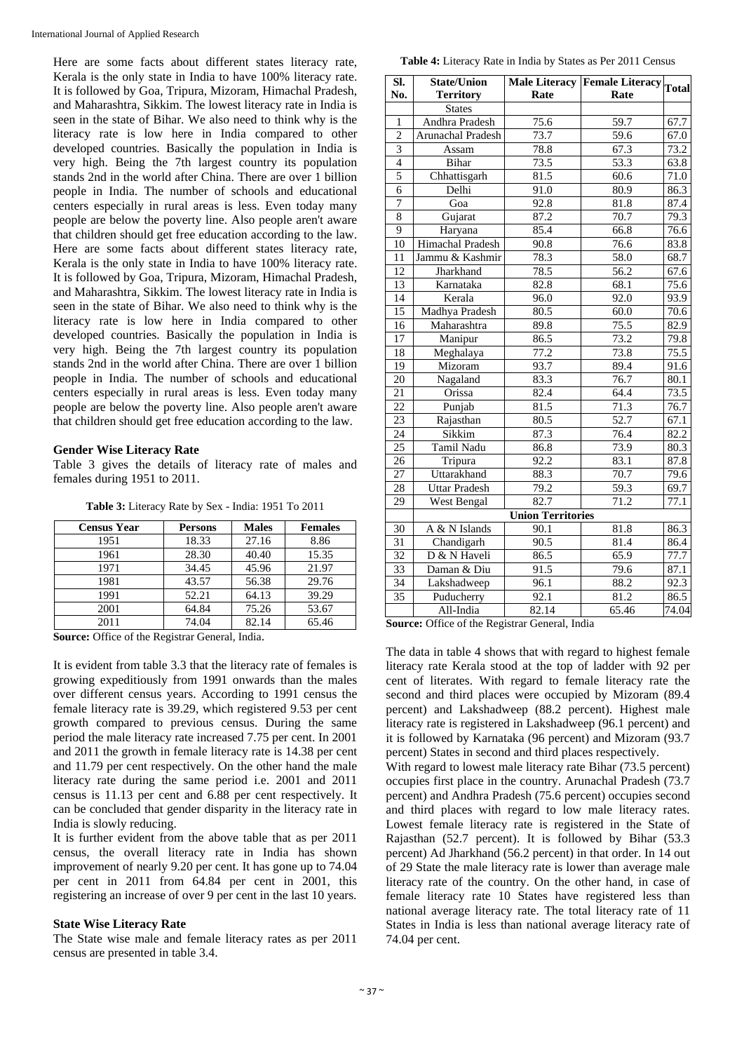Here are some facts about different states literacy rate, Kerala is the only state in India to have 100% literacy rate. It is followed by Goa, Tripura, Mizoram, Himachal Pradesh, and Maharashtra, Sikkim. The lowest literacy rate in India is seen in the state of Bihar. We also need to think why is the literacy rate is low here in India compared to other developed countries. Basically the population in India is very high. Being the 7th largest country its population stands 2nd in the world after China. There are over 1 billion people in India. The number of schools and educational centers especially in rural areas is less. Even today many people are below the poverty line. Also people aren't aware that children should get free education according to the law. Here are some facts about different states literacy rate, Kerala is the only state in India to have 100% literacy rate. It is followed by Goa, Tripura, Mizoram, Himachal Pradesh, and Maharashtra, Sikkim. The lowest literacy rate in India is seen in the state of Bihar. We also need to think why is the literacy rate is low here in India compared to other developed countries. Basically the population in India is very high. Being the 7th largest country its population stands 2nd in the world after China. There are over 1 billion people in India. The number of schools and educational centers especially in rural areas is less. Even today many people are below the poverty line. Also people aren't aware that children should get free education according to the law.

#### **Gender Wise Literacy Rate**

Table 3 gives the details of literacy rate of males and females during 1951 to 2011.

**Table 3:** Literacy Rate by Sex - India: 1951 To 2011

| <b>Census Year</b> | <b>Persons</b> | <b>Males</b> | <b>Females</b> |
|--------------------|----------------|--------------|----------------|
| 1951               | 18.33          | 27.16        | 8.86           |
| 1961               | 28.30          | 40.40        | 15.35          |
| 1971               | 34.45          | 45.96        | 21.97          |
| 1981               | 43.57          | 56.38        | 29.76          |
| 1991               | 52.21          | 64.13        | 39.29          |
| 2001               | 64.84          | 75.26        | 53.67          |
| 2011               | 74.04          | 82.14        | 65.46          |

**Source:** Office of the Registrar General, India.

It is evident from table 3.3 that the literacy rate of females is growing expeditiously from 1991 onwards than the males over different census years. According to 1991 census the female literacy rate is 39.29, which registered 9.53 per cent growth compared to previous census. During the same period the male literacy rate increased 7.75 per cent. In 2001 and 2011 the growth in female literacy rate is 14.38 per cent and 11.79 per cent respectively. On the other hand the male literacy rate during the same period i.e. 2001 and 2011 census is 11.13 per cent and 6.88 per cent respectively. It can be concluded that gender disparity in the literacy rate in India is slowly reducing.

It is further evident from the above table that as per 2011 census, the overall literacy rate in India has shown improvement of nearly 9.20 per cent. It has gone up to 74.04 per cent in 2011 from 64.84 per cent in 2001, this registering an increase of over 9 per cent in the last 10 years.

#### **State Wise Literacy Rate**

The State wise male and female literacy rates as per 2011 census are presented in table 3.4.

| SI.             | <b>State/Union</b>       |                          | Male Literacy Female Literacy Total |                  |
|-----------------|--------------------------|--------------------------|-------------------------------------|------------------|
| No.             | <b>Territory</b>         | Rate                     | Rate                                |                  |
|                 | <b>States</b>            |                          |                                     |                  |
| $\mathbf{1}$    | Andhra Pradesh           | 75.6                     | 59.7                                | 67.7             |
| $\overline{c}$  | <b>Arunachal Pradesh</b> | 73.7                     | 59.6                                | 67.0             |
| $\overline{3}$  | Assam                    | 78.8                     | 67.3                                | 73.2             |
| $\overline{4}$  | Bihar                    | 73.5                     | 53.3                                | 63.8             |
| 5               | Chhattisgarh             | 81.5                     | 60.6                                | 71.0             |
| 6               | Delhi                    | 91.0                     | 80.9                                | 86.3             |
| 7               | $\overline{G}$ oa        | $\overline{92.8}$        | 81.8                                | 87.4             |
| 8               | Gujarat                  | 87.2                     | 70.7                                | 79.3             |
| $\overline{9}$  | Haryana                  | 85.4                     | 66.8                                | 76.6             |
| $\overline{10}$ | <b>Himachal Pradesh</b>  | 90.8                     | 76.6                                | 83.8             |
| 11              | Jammu & Kashmir          | 78.3                     | 58.0                                | 68.7             |
| 12              | Jharkhand                | 78.5                     | 56.2                                | 67.6             |
| 13              | Karnataka                | 82.8                     | 68.1                                | 75.6             |
| $\overline{14}$ | Kerala                   | 96.0                     | 92.0                                | 93.9             |
| 15              | Madhya Pradesh           | 80.5                     | 60.0                                | 70.6             |
| 16              | Maharashtra              | 89.8                     | 75.5                                | 82.9             |
| 17              | Manipur                  | 86.5                     | 73.2                                | $\frac{1}{79.8}$ |
| 18              | Meghalaya                | 77.2                     | 73.8                                | 75.5             |
| 19              | Mizoram                  | 93.7                     | 89.4                                | 91.6             |
| $\overline{20}$ | Nagaland                 | 83.3                     | 76.7                                | 80.1             |
| 21              | Orissa                   | 82.4                     | 64.4                                | 73.5             |
| 22              | Punjab                   | 81.5                     | 71.3                                | 76.7             |
| 23              | Rajasthan                | 80.5                     | 52.7                                | 67.1             |
| $2\overline{4}$ | Sikkim                   | 87.3                     | 76.4                                | 82.2             |
| $\overline{25}$ | Tamil Nadu               | 86.8                     | 73.9                                | 80.3             |
| $\overline{26}$ | Tripura                  | 92.2                     | 83.1                                | 87.8             |
| $\overline{27}$ | Uttarakhand              | 88.3                     | 70.7                                | 79.6             |
| $\overline{28}$ | <b>Uttar Pradesh</b>     | 79.2                     | 59.3                                | 69.7             |
| 29              | West Bengal              | 82.7                     | 71.2                                | 77.1             |
|                 |                          | <b>Union Territories</b> |                                     |                  |
| 30              | A & N Islands            | 90.1                     | 81.8                                | 86.3             |
| $\overline{31}$ | Chandigarh               | 90.5                     | 81.4                                | 86.4             |
| $\overline{32}$ | D & N Haveli             | 86.5                     | 65.9                                | 77.7             |
| 33              | Daman & Diu              | 91.5                     | 79.6                                | 87.1             |
| 34              | Lakshadweep              | 96.1                     | 88.2                                | 92.3             |
| 35              | Puducherry               | 92.1                     | 81.2                                | 86.5             |
|                 | All-India                | 82.14                    | 65.46                               | 74.04            |

**Source:** Office of the Registrar General, India

The data in table 4 shows that with regard to highest female literacy rate Kerala stood at the top of ladder with 92 per cent of literates. With regard to female literacy rate the second and third places were occupied by Mizoram (89.4 percent) and Lakshadweep (88.2 percent). Highest male literacy rate is registered in Lakshadweep (96.1 percent) and it is followed by Karnataka (96 percent) and Mizoram (93.7 percent) States in second and third places respectively.

With regard to lowest male literacy rate Bihar (73.5 percent) occupies first place in the country. Arunachal Pradesh (73.7 percent) and Andhra Pradesh (75.6 percent) occupies second and third places with regard to low male literacy rates. Lowest female literacy rate is registered in the State of Rajasthan (52.7 percent). It is followed by Bihar (53.3 percent) Ad Jharkhand (56.2 percent) in that order. In 14 out of 29 State the male literacy rate is lower than average male literacy rate of the country. On the other hand, in case of female literacy rate 10 States have registered less than national average literacy rate. The total literacy rate of 11 States in India is less than national average literacy rate of 74.04 per cent.